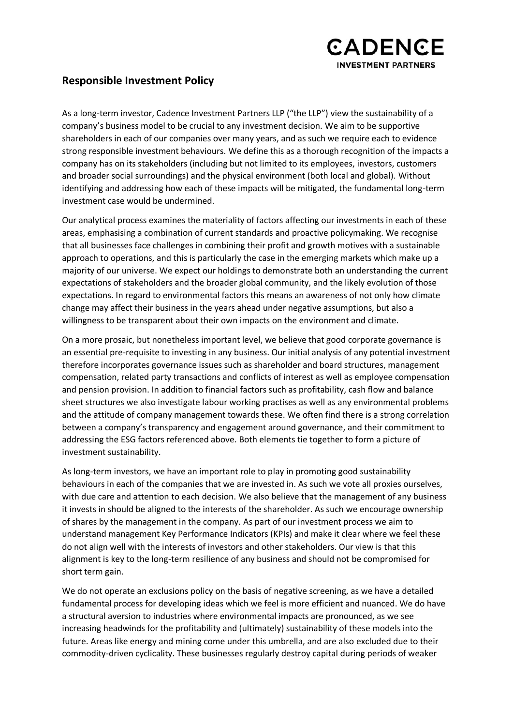

## **Responsible Investment Policy**

As a long-term investor, Cadence Investment Partners LLP ("the LLP") view the sustainability of a company's business model to be crucial to any investment decision. We aim to be supportive shareholders in each of our companies over many years, and as such we require each to evidence strong responsible investment behaviours. We define this as a thorough recognition of the impacts a company has on its stakeholders (including but not limited to its employees, investors, customers and broader social surroundings) and the physical environment (both local and global). Without identifying and addressing how each of these impacts will be mitigated, the fundamental long-term investment case would be undermined.

Our analytical process examines the materiality of factors affecting our investments in each of these areas, emphasising a combination of current standards and proactive policymaking. We recognise that all businesses face challenges in combining their profit and growth motives with a sustainable approach to operations, and this is particularly the case in the emerging markets which make up a majority of our universe. We expect our holdings to demonstrate both an understanding the current expectations of stakeholders and the broader global community, and the likely evolution of those expectations. In regard to environmental factors this means an awareness of not only how climate change may affect their business in the years ahead under negative assumptions, but also a willingness to be transparent about their own impacts on the environment and climate.

On a more prosaic, but nonetheless important level, we believe that good corporate governance is an essential pre-requisite to investing in any business. Our initial analysis of any potential investment therefore incorporates governance issues such as shareholder and board structures, management compensation, related party transactions and conflicts of interest as well as employee compensation and pension provision. In addition to financial factors such as profitability, cash flow and balance sheet structures we also investigate labour working practises as well as any environmental problems and the attitude of company management towards these. We often find there is a strong correlation between a company's transparency and engagement around governance, and their commitment to addressing the ESG factors referenced above. Both elements tie together to form a picture of investment sustainability.

As long-term investors, we have an important role to play in promoting good sustainability behaviours in each of the companies that we are invested in. As such we vote all proxies ourselves, with due care and attention to each decision. We also believe that the management of any business it invests in should be aligned to the interests of the shareholder. As such we encourage ownership of shares by the management in the company. As part of our investment process we aim to understand management Key Performance Indicators (KPIs) and make it clear where we feel these do not align well with the interests of investors and other stakeholders. Our view is that this alignment is key to the long-term resilience of any business and should not be compromised for short term gain.

We do not operate an exclusions policy on the basis of negative screening, as we have a detailed fundamental process for developing ideas which we feel is more efficient and nuanced. We do have a structural aversion to industries where environmental impacts are pronounced, as we see increasing headwinds for the profitability and (ultimately) sustainability of these models into the future. Areas like energy and mining come under this umbrella, and are also excluded due to their commodity-driven cyclicality. These businesses regularly destroy capital during periods of weaker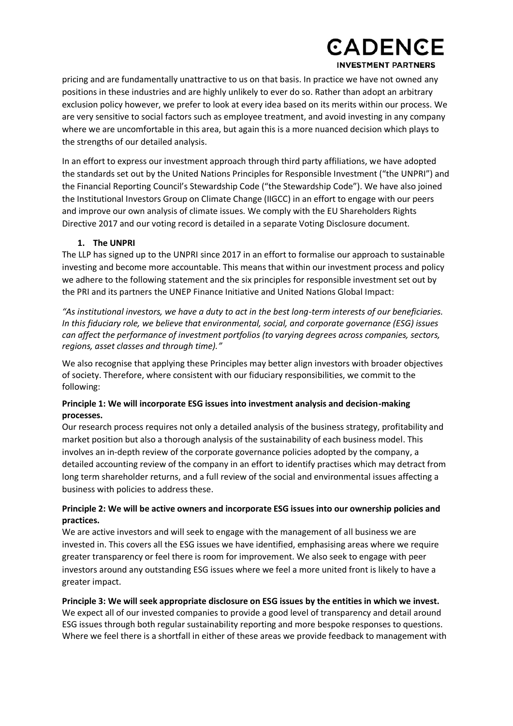# **CADENCE INVESTMENT PARTNERS**

pricing and are fundamentally unattractive to us on that basis. In practice we have not owned any positions in these industries and are highly unlikely to ever do so. Rather than adopt an arbitrary exclusion policy however, we prefer to look at every idea based on its merits within our process. We are very sensitive to social factors such as employee treatment, and avoid investing in any company where we are uncomfortable in this area, but again this is a more nuanced decision which plays to the strengths of our detailed analysis.

In an effort to express our investment approach through third party affiliations, we have adopted the standards set out by the United Nations Principles for Responsible Investment ("the UNPRI") and the Financial Reporting Council's Stewardship Code ("the Stewardship Code"). We have also joined the Institutional Investors Group on Climate Change (IIGCC) in an effort to engage with our peers and improve our own analysis of climate issues. We comply with the EU Shareholders Rights Directive 2017 and our voting record is detailed in a separate Voting Disclosure document.

#### **1. The UNPRI**

The LLP has signed up to the UNPRI since 2017 in an effort to formalise our approach to sustainable investing and become more accountable. This means that within our investment process and policy we adhere to the following statement and the six principles for responsible investment set out by the PRI and its partners the UNEP Finance Initiative and United Nations Global Impact:

*"As institutional investors, we have a duty to act in the best long-term interests of our beneficiaries. In this fiduciary role, we believe that environmental, social, and corporate governance (ESG) issues can affect the performance of investment portfolios (to varying degrees across companies, sectors, regions, asset classes and through time)."*

We also recognise that applying these Principles may better align investors with broader objectives of society. Therefore, where consistent with our fiduciary responsibilities, we commit to the following:

#### **Principle 1: We will incorporate ESG issues into investment analysis and decision-making processes.**

Our research process requires not only a detailed analysis of the business strategy, profitability and market position but also a thorough analysis of the sustainability of each business model. This involves an in-depth review of the corporate governance policies adopted by the company, a detailed accounting review of the company in an effort to identify practises which may detract from long term shareholder returns, and a full review of the social and environmental issues affecting a business with policies to address these.

#### **Principle 2: We will be active owners and incorporate ESG issues into our ownership policies and practices.**

We are active investors and will seek to engage with the management of all business we are invested in. This covers all the ESG issues we have identified, emphasising areas where we require greater transparency or feel there is room for improvement. We also seek to engage with peer investors around any outstanding ESG issues where we feel a more united front is likely to have a greater impact.

**Principle 3: We will seek appropriate disclosure on ESG issues by the entities in which we invest.** We expect all of our invested companies to provide a good level of transparency and detail around ESG issues through both regular sustainability reporting and more bespoke responses to questions. Where we feel there is a shortfall in either of these areas we provide feedback to management with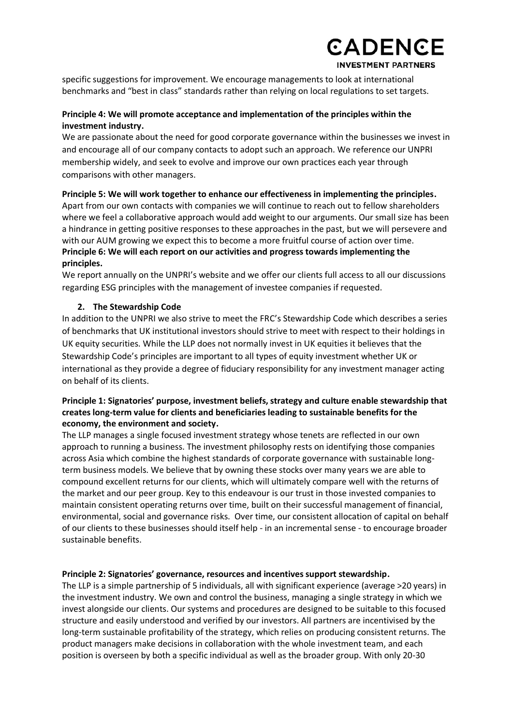## **CADENCE INVESTMENT PARTNERS**

specific suggestions for improvement. We encourage managements to look at international benchmarks and "best in class" standards rather than relying on local regulations to set targets.

## **Principle 4: We will promote acceptance and implementation of the principles within the investment industry.**

We are passionate about the need for good corporate governance within the businesses we invest in and encourage all of our company contacts to adopt such an approach. We reference our UNPRI membership widely, and seek to evolve and improve our own practices each year through comparisons with other managers.

## **Principle 5: We will work together to enhance our effectiveness in implementing the principles.** Apart from our own contacts with companies we will continue to reach out to fellow shareholders where we feel a collaborative approach would add weight to our arguments. Our small size has been a hindrance in getting positive responses to these approaches in the past, but we will persevere and with our AUM growing we expect this to become a more fruitful course of action over time. **Principle 6: We will each report on our activities and progress towards implementing the principles.**

We report annually on the UNPRI's website and we offer our clients full access to all our discussions regarding ESG principles with the management of investee companies if requested.

#### **2. The Stewardship Code**

In addition to the UNPRI we also strive to meet the FRC's Stewardship Code which describes a series of benchmarks that UK institutional investors should strive to meet with respect to their holdings in UK equity securities. While the LLP does not normally invest in UK equities it believes that the Stewardship Code's principles are important to all types of equity investment whether UK or international as they provide a degree of fiduciary responsibility for any investment manager acting on behalf of its clients.

#### **Principle 1: Signatories' purpose, investment beliefs, strategy and culture enable stewardship that creates long-term value for clients and beneficiaries leading to sustainable benefits for the economy, the environment and society.**

The LLP manages a single focused investment strategy whose tenets are reflected in our own approach to running a business. The investment philosophy rests on identifying those companies across Asia which combine the highest standards of corporate governance with sustainable longterm business models. We believe that by owning these stocks over many years we are able to compound excellent returns for our clients, which will ultimately compare well with the returns of the market and our peer group. Key to this endeavour is our trust in those invested companies to maintain consistent operating returns over time, built on their successful management of financial, environmental, social and governance risks. Over time, our consistent allocation of capital on behalf of our clients to these businesses should itself help - in an incremental sense - to encourage broader sustainable benefits.

#### **Principle 2: Signatories' governance, resources and incentives support stewardship.**

The LLP is a simple partnership of 5 individuals, all with significant experience (average >20 years) in the investment industry. We own and control the business, managing a single strategy in which we invest alongside our clients. Our systems and procedures are designed to be suitable to this focused structure and easily understood and verified by our investors. All partners are incentivised by the long-term sustainable profitability of the strategy, which relies on producing consistent returns. The product managers make decisions in collaboration with the whole investment team, and each position is overseen by both a specific individual as well as the broader group. With only 20-30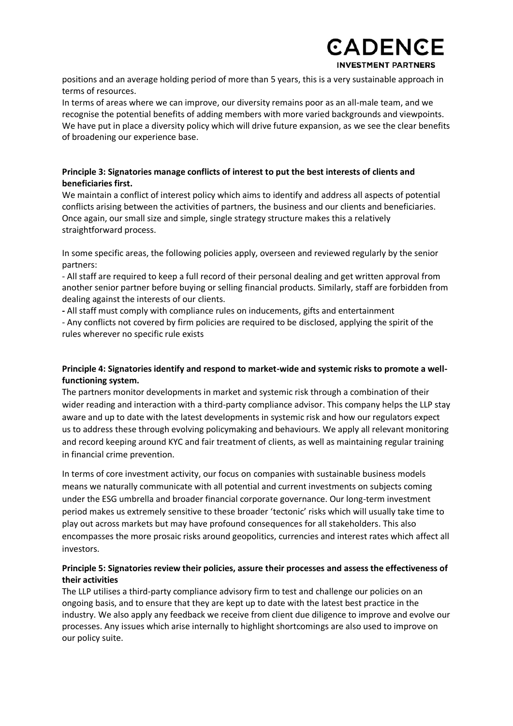

positions and an average holding period of more than 5 years, this is a very sustainable approach in terms of resources.

In terms of areas where we can improve, our diversity remains poor as an all-male team, and we recognise the potential benefits of adding members with more varied backgrounds and viewpoints. We have put in place a diversity policy which will drive future expansion, as we see the clear benefits of broadening our experience base.

#### **Principle 3: Signatories manage conflicts of interest to put the best interests of clients and beneficiaries first.**

We maintain a conflict of interest policy which aims to identify and address all aspects of potential conflicts arising between the activities of partners, the business and our clients and beneficiaries. Once again, our small size and simple, single strategy structure makes this a relatively straightforward process.

In some specific areas, the following policies apply, overseen and reviewed regularly by the senior partners:

- All staff are required to keep a full record of their personal dealing and get written approval from another senior partner before buying or selling financial products. Similarly, staff are forbidden from dealing against the interests of our clients.

**-** All staff must comply with compliance rules on inducements, gifts and entertainment

- Any conflicts not covered by firm policies are required to be disclosed, applying the spirit of the rules wherever no specific rule exists

## **Principle 4: Signatories identify and respond to market-wide and systemic risks to promote a wellfunctioning system.**

The partners monitor developments in market and systemic risk through a combination of their wider reading and interaction with a third-party compliance advisor. This company helps the LLP stay aware and up to date with the latest developments in systemic risk and how our regulators expect us to address these through evolving policymaking and behaviours. We apply all relevant monitoring and record keeping around KYC and fair treatment of clients, as well as maintaining regular training in financial crime prevention.

In terms of core investment activity, our focus on companies with sustainable business models means we naturally communicate with all potential and current investments on subjects coming under the ESG umbrella and broader financial corporate governance. Our long-term investment period makes us extremely sensitive to these broader 'tectonic' risks which will usually take time to play out across markets but may have profound consequences for all stakeholders. This also encompasses the more prosaic risks around geopolitics, currencies and interest rates which affect all investors.

## **Principle 5: Signatories review their policies, assure their processes and assess the effectiveness of their activities**

The LLP utilises a third-party compliance advisory firm to test and challenge our policies on an ongoing basis, and to ensure that they are kept up to date with the latest best practice in the industry. We also apply any feedback we receive from client due diligence to improve and evolve our processes. Any issues which arise internally to highlight shortcomings are also used to improve on our policy suite.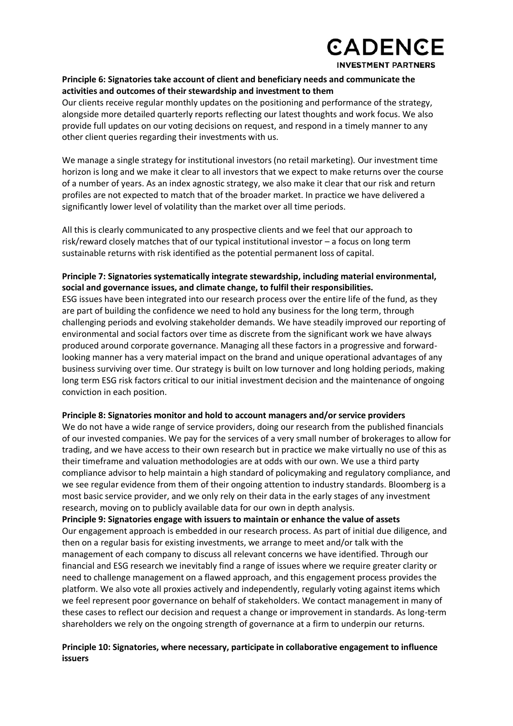

#### **Principle 6: Signatories take account of client and beneficiary needs and communicate the activities and outcomes of their stewardship and investment to them**

Our clients receive regular monthly updates on the positioning and performance of the strategy, alongside more detailed quarterly reports reflecting our latest thoughts and work focus. We also provide full updates on our voting decisions on request, and respond in a timely manner to any other client queries regarding their investments with us.

We manage a single strategy for institutional investors (no retail marketing). Our investment time horizon is long and we make it clear to all investors that we expect to make returns over the course of a number of years. As an index agnostic strategy, we also make it clear that our risk and return profiles are not expected to match that of the broader market. In practice we have delivered a significantly lower level of volatility than the market over all time periods.

All this is clearly communicated to any prospective clients and we feel that our approach to risk/reward closely matches that of our typical institutional investor – a focus on long term sustainable returns with risk identified as the potential permanent loss of capital.

#### **Principle 7: Signatories systematically integrate stewardship, including material environmental, social and governance issues, and climate change, to fulfil their responsibilities.**

ESG issues have been integrated into our research process over the entire life of the fund, as they are part of building the confidence we need to hold any business for the long term, through challenging periods and evolving stakeholder demands. We have steadily improved our reporting of environmental and social factors over time as discrete from the significant work we have always produced around corporate governance. Managing all these factors in a progressive and forwardlooking manner has a very material impact on the brand and unique operational advantages of any business surviving over time. Our strategy is built on low turnover and long holding periods, making long term ESG risk factors critical to our initial investment decision and the maintenance of ongoing conviction in each position.

#### **Principle 8: Signatories monitor and hold to account managers and/or service providers**

We do not have a wide range of service providers, doing our research from the published financials of our invested companies. We pay for the services of a very small number of brokerages to allow for trading, and we have access to their own research but in practice we make virtually no use of this as their timeframe and valuation methodologies are at odds with our own. We use a third party compliance advisor to help maintain a high standard of policymaking and regulatory compliance, and we see regular evidence from them of their ongoing attention to industry standards. Bloomberg is a most basic service provider, and we only rely on their data in the early stages of any investment research, moving on to publicly available data for our own in depth analysis.

**Principle 9: Signatories engage with issuers to maintain or enhance the value of assets** Our engagement approach is embedded in our research process. As part of initial due diligence, and then on a regular basis for existing investments, we arrange to meet and/or talk with the management of each company to discuss all relevant concerns we have identified. Through our financial and ESG research we inevitably find a range of issues where we require greater clarity or need to challenge management on a flawed approach, and this engagement process provides the platform. We also vote all proxies actively and independently, regularly voting against items which we feel represent poor governance on behalf of stakeholders. We contact management in many of these cases to reflect our decision and request a change or improvement in standards. As long-term shareholders we rely on the ongoing strength of governance at a firm to underpin our returns.

#### **Principle 10: Signatories, where necessary, participate in collaborative engagement to influence issuers**